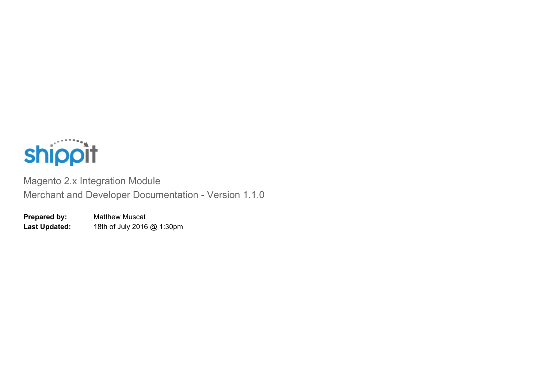

Magento 2.x Integration Module Merchant and Developer Documentation - Version 1.1.0

**Prepared by:** Matthew Muscat **Last Updated:** 18th of July 2016 @ 1:30pm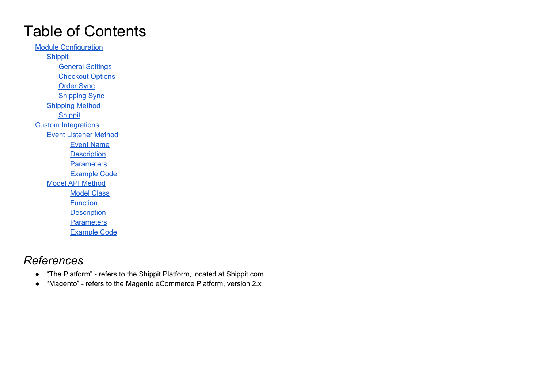# Table of Contents

Module [Configuration](#page-2-0) [Shippit](#page-2-1) General [Settings](#page-3-0) **Checkout Options** [Order](#page-3-1) Sync [Shipping](#page-5-0) Sync [Shipping](#page-6-0) Method **[Shippit](#page-7-0)** Custom [Integrations](#page-8-0) Event [Listener](#page-9-0) Method Event [Name](#page-9-1) **[Description](#page-9-2) [Parameters](#page-9-3)** [Example](#page-11-0) Code Model API [Method](#page-11-1) [Model](#page-12-0) Class **[Function](#page-12-1) [Description](#page-12-2) [Parameters](#page-12-3)** [Example](#page-14-0) Code

# *References*

- "The Platform" refers to the Shippit Platform, located at Shippit.com
- "Magento" refers to the Magento eCommerce Platform, version 2.x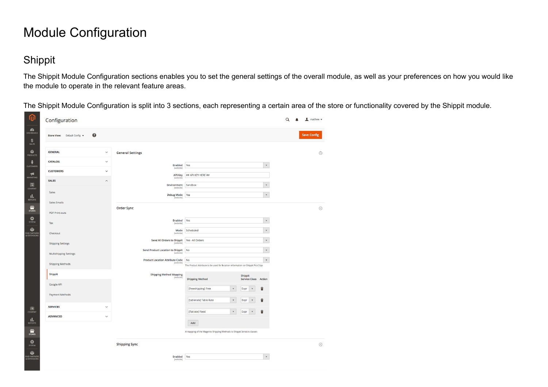# <span id="page-2-0"></span>Module Configuration

# <span id="page-2-1"></span>Shippit

The Shippit Module Configuration sections enables you to set the general settings of the overall module, as well as your preferences on how you would like the module to operate in the relevant feature areas.

The Shippit Module Configuration is split into 3 sections, each representing a certain area of the store or functionality covered by the Shippit module.

| Store View: Default Config v | $\bullet$               |                                               |                                                                                 |                                 | <b>Save Config</b> |
|------------------------------|-------------------------|-----------------------------------------------|---------------------------------------------------------------------------------|---------------------------------|--------------------|
| <b>GENERAL</b>               | $\checkmark$            | <b>General Settings</b>                       |                                                                                 |                                 | $\odot$            |
| CATALOG                      | $\check{~}$             | Enabled                                       | Yes                                                                             | $\mathbf v$                     |                    |
| <b>CUSTOMERS</b>             | $\checkmark$            | [website]<br>API Key                          | ## API KEY HERE ##                                                              |                                 |                    |
| <b>SALES</b>                 | $\widehat{\phantom{0}}$ | [website]<br>Environment                      | Sandbox                                                                         | $_{\rm v}$                      |                    |
| Sales                        |                         | [website]<br>Debug Mode                       | Yes                                                                             | $\mathbf v$                     |                    |
| Sales Emails                 |                         | [website]                                     |                                                                                 |                                 |                    |
| PDF Print-outs               |                         | Order Sync                                    |                                                                                 |                                 | $\odot$            |
| Tax                          |                         | Enabled<br>[website]                          | Yes                                                                             | $_{\rm v}$                      |                    |
| Checkout                     |                         | Mode<br>[website]                             | Scheduled                                                                       | $\star$                         |                    |
|                              |                         | Send All Orders to Shippit<br>[website]       | Yes - All Orders                                                                | $\mathbf{v}$                    |                    |
| <b>Shipping Settings</b>     |                         | Send Product Location to Shippit<br>[website] | No                                                                              | $\scriptstyle\rm v$             |                    |
| Multishipping Settings       |                         | <b>Product Location Attribute Code</b>        | No                                                                              | $\star$                         |                    |
| <b>Shipping Methods</b>      |                         | [website]                                     | The Product Attribute to be used for location information on Shippit Pick Slips |                                 |                    |
| Shippit                      |                         | Shipping Method Mapping<br>[website]          | <b>Shipping Method</b>                                                          | Shippit<br>Service Class Action |                    |
| Google API                   |                         |                                               | [freeshipping] Free<br>$\star$                                                  | û<br>Expr<br>$\mathbf{v}$       |                    |
| Payment Methods              |                         |                                               | [tablerate] Table Rate<br>$\mathbf v$                                           | û<br>Expr<br>$\mathbf v$        |                    |
| <b>SERVICES</b>              | $\check{~}$             |                                               |                                                                                 |                                 |                    |
| <b>ADVANCED</b>              | $\check{~}$             |                                               | [flatrate] Fixed<br>$\mathbf v$                                                 | û<br>Expr<br>$\mathbf{v}$       |                    |
|                              |                         |                                               | Add                                                                             |                                 |                    |
|                              |                         |                                               | A mapping of the Magento Shipping Methods to Shippit Services classes           |                                 |                    |
|                              |                         | <b>Shipping Sync</b>                          |                                                                                 |                                 | $\odot$            |
|                              |                         |                                               | Yes                                                                             | $\mathbf v$                     |                    |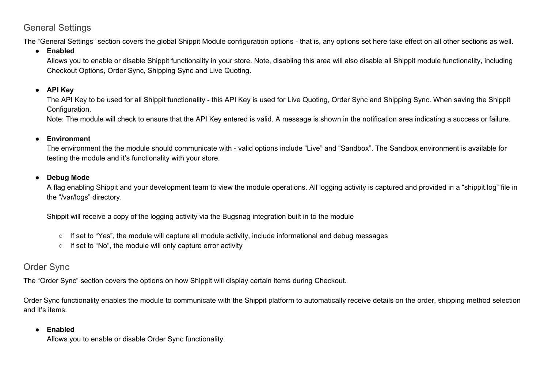# <span id="page-3-0"></span>General Settings

The "General Settings" section covers the global Shippit Module configuration options - that is, any options set here take effect on all other sections as well.

#### **● Enabled**

Allows you to enable or disable Shippit functionality in your store. Note, disabling this area will also disable all Shippit module functionality, including Checkout Options, Order Sync, Shipping Sync and Live Quoting.

### **● API Key**

The API Key to be used for all Shippit functionality - this API Key is used for Live Quoting, Order Sync and Shipping Sync. When saving the Shippit Configuration.

Note: The module will check to ensure that the API Key entered is valid. A message is shown in the notification area indicating a success or failure.

#### **● Environment**

The environment the the module should communicate with - valid options include "Live" and "Sandbox". The Sandbox environment is available for testing the module and it's functionality with your store.

#### **● Debug Mode**

A flag enabling Shippit and your development team to view the module operations. All logging activity is captured and provided in a "shippit.log" file in the "/var/logs" directory.

Shippit will receive a copy of the logging activity via the Bugsnag integration built in to the module

- $\circ$  If set to "Yes", the module will capture all module activity, include informational and debug messages
- If set to "No", the module will only capture error activity

# <span id="page-3-1"></span>Order Sync

The "Order Sync" section covers the options on how Shippit will display certain items during Checkout.

Order Sync functionality enables the module to communicate with the Shippit platform to automatically receive details on the order, shipping method selection and it's items.

### **● Enabled**

Allows you to enable or disable Order Sync functionality.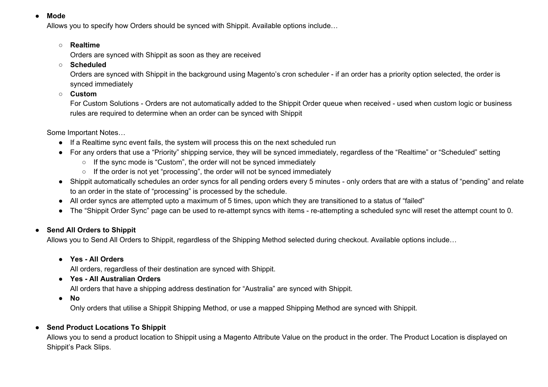#### **● Mode**

Allows you to specify how Orders should be synced with Shippit. Available options include…

#### **○ Realtime**

Orders are synced with Shippit as soon as they are received

**○ Scheduled**

Orders are synced with Shippit in the background using Magento's cron scheduler - if an order has a priority option selected, the order is synced immediately

**○ Custom**

For Custom Solutions - Orders are not automatically added to the Shippit Order queue when received - used when custom logic or business rules are required to determine when an order can be synced with Shippit

Some Important Notes…

- If a Realtime sync event fails, the system will process this on the next scheduled run
- For any orders that use a "Priority" shipping service, they will be synced immediately, regardless of the "Realtime" or "Scheduled" setting
	- If the sync mode is "Custom", the order will not be synced immediately
	- If the order is not yet "processing", the order will not be synced immediately
- Shippit automatically schedules an order syncs for all pending orders every 5 minutes only orders that are with a status of "pending" and relate to an order in the state of "processing" is processed by the schedule.
- All order syncs are attempted upto a maximum of 5 times, upon which they are transitioned to a status of "failed"
- The "Shippit Order Sync" page can be used to re-attempt syncs with items re-attempting a scheduled sync will reset the attempt count to 0.

#### **● Send All Orders to Shippit**

Allows you to Send All Orders to Shippit, regardless of the Shipping Method selected during checkout. Available options include…

● **Yes - All Orders**

All orders, regardless of their destination are synced with Shippit.

**● Yes - All Australian Orders**

All orders that have a shipping address destination for "Australia" are synced with Shippit.

**● No**

Only orders that utilise a Shippit Shipping Method, or use a mapped Shipping Method are synced with Shippit.

#### **● Send Product Locations To Shippit**

Allows you to send a product location to Shippit using a Magento Attribute Value on the product in the order. The Product Location is displayed on Shippit's Pack Slips.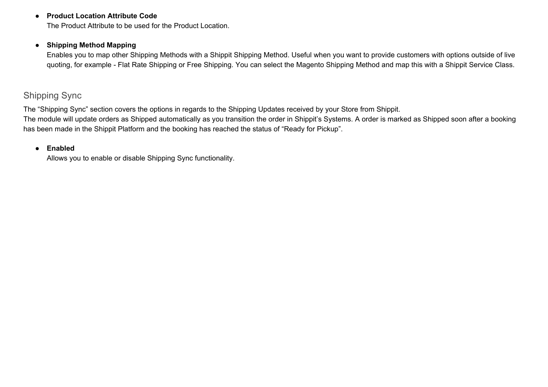#### **● Product Location Attribute Code**

The Product Attribute to be used for the Product Location.

#### **● Shipping Method Mapping**

Enables you to map other Shipping Methods with a Shippit Shipping Method. Useful when you want to provide customers with options outside of live quoting, for example - Flat Rate Shipping or Free Shipping. You can select the Magento Shipping Method and map this with a Shippit Service Class.

## <span id="page-5-0"></span>Shipping Sync

The "Shipping Sync" section covers the options in regards to the Shipping Updates received by your Store from Shippit.

The module will update orders as Shipped automatically as you transition the order in Shippit's Systems. A order is marked as Shipped soon after a booking has been made in the Shippit Platform and the booking has reached the status of "Ready for Pickup".

#### **● Enabled**

Allows you to enable or disable Shipping Sync functionality.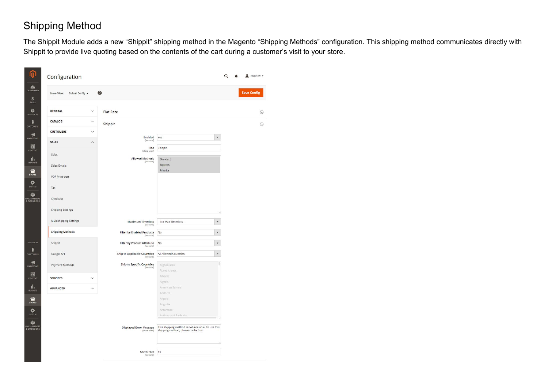# <span id="page-6-0"></span>Shipping Method

The Shippit Module adds a new "Shippit" shipping method in the Magento "Shipping Methods" configuration. This shipping method communicates directly with Shippit to provide live quoting based on the contents of the cart during a customer's visit to your store.

> $\odot$  $\odot$

| <b>GENERAL</b><br>CATALOG<br><b>CUSTOMERS</b><br><b>SALES</b><br>Sales<br>Sales Emails<br>PDF Print-outs<br>Tax<br>Checkout<br><b>Shipping Settings</b> | $\checkmark$<br><b>Flat Rate</b><br>$\checkmark$<br>Shippit<br>$\checkmark$<br>Enabled<br>[website]<br>$\widehat{\phantom{a}}$<br>Title<br>[store view]<br>Allowed Methods<br>[website] | Yes<br>Shippit<br>Standard<br>Express<br>Priority                                         | $\pmb{\mathrm{v}}$  | $\odot$ |
|---------------------------------------------------------------------------------------------------------------------------------------------------------|-----------------------------------------------------------------------------------------------------------------------------------------------------------------------------------------|-------------------------------------------------------------------------------------------|---------------------|---------|
|                                                                                                                                                         |                                                                                                                                                                                         |                                                                                           |                     |         |
|                                                                                                                                                         |                                                                                                                                                                                         |                                                                                           |                     | $\odot$ |
|                                                                                                                                                         |                                                                                                                                                                                         |                                                                                           |                     |         |
|                                                                                                                                                         |                                                                                                                                                                                         |                                                                                           |                     |         |
|                                                                                                                                                         |                                                                                                                                                                                         |                                                                                           |                     |         |
|                                                                                                                                                         |                                                                                                                                                                                         |                                                                                           |                     |         |
|                                                                                                                                                         |                                                                                                                                                                                         |                                                                                           |                     |         |
|                                                                                                                                                         |                                                                                                                                                                                         |                                                                                           |                     |         |
|                                                                                                                                                         |                                                                                                                                                                                         |                                                                                           |                     |         |
|                                                                                                                                                         |                                                                                                                                                                                         |                                                                                           |                     |         |
|                                                                                                                                                         |                                                                                                                                                                                         |                                                                                           |                     |         |
|                                                                                                                                                         |                                                                                                                                                                                         |                                                                                           |                     |         |
| <b>Multishipping Settings</b>                                                                                                                           | <b>Maximum Timeslots</b><br>[website]                                                                                                                                                   | -- No Max Timeslots --                                                                    | $\bar{\mathbf{v}}$  |         |
| <b>Shipping Methods</b>                                                                                                                                 | <b>Filter by Enabled Products</b><br>[website]                                                                                                                                          | No                                                                                        | $\check{}$          |         |
| Shippit                                                                                                                                                 | <b>Filter by Product Attribute</b><br>[website]                                                                                                                                         | No                                                                                        | $\check{}$          |         |
| Google API                                                                                                                                              | <b>Ship to Applicable Countries</b><br>[website]                                                                                                                                        | All Allowed Countries                                                                     | $\bar{\phantom{a}}$ |         |
| Payment Methods                                                                                                                                         | <b>Ship to Specific Countries</b><br>[website]                                                                                                                                          | Afghanistan                                                                               |                     |         |
|                                                                                                                                                         |                                                                                                                                                                                         | Aland Islands                                                                             |                     |         |
| <b>SERVICES</b>                                                                                                                                         | $\checkmark$                                                                                                                                                                            | Albania<br>Algeria                                                                        |                     |         |
| ADVANCED                                                                                                                                                |                                                                                                                                                                                         | American Samoa                                                                            |                     |         |
|                                                                                                                                                         |                                                                                                                                                                                         | Andorra                                                                                   |                     |         |
|                                                                                                                                                         |                                                                                                                                                                                         | Angola                                                                                    |                     |         |
|                                                                                                                                                         |                                                                                                                                                                                         | Anguilla<br>Antarctica                                                                    |                     |         |
|                                                                                                                                                         |                                                                                                                                                                                         | Antiqua and Barbuda                                                                       |                     |         |
|                                                                                                                                                         |                                                                                                                                                                                         |                                                                                           |                     |         |
|                                                                                                                                                         | <b>Displayed Error Message</b><br>[store view]                                                                                                                                          | This shipping method is not available. To use this<br>shipping method, please contact us. |                     |         |
|                                                                                                                                                         |                                                                                                                                                                                         |                                                                                           |                     |         |
|                                                                                                                                                         |                                                                                                                                                                                         |                                                                                           |                     |         |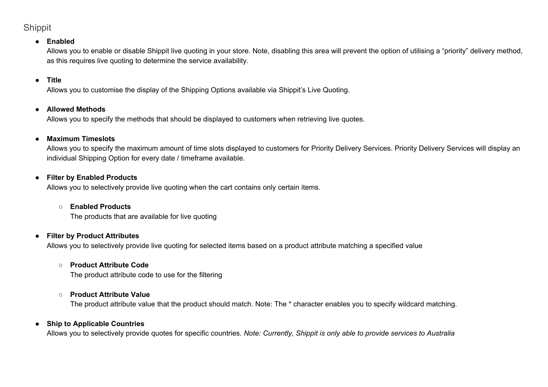# <span id="page-7-0"></span>Shippit

#### **● Enabled**

Allows you to enable or disable Shippit live quoting in your store. Note, disabling this area will prevent the option of utilising a "priority" delivery method, as this requires live quoting to determine the service availability.

#### **● Title**

Allows you to customise the display of the Shipping Options available via Shippit's Live Quoting.

#### **● Allowed Methods**

Allows you to specify the methods that should be displayed to customers when retrieving live quotes.

### **● Maximum Timeslots**

Allows you to specify the maximum amount of time slots displayed to customers for Priority Delivery Services. Priority Delivery Services will display an individual Shipping Option for every date / timeframe available.

#### **● Filter by Enabled Products**

Allows you to selectively provide live quoting when the cart contains only certain items.

#### **○ Enabled Products**

The products that are available for live quoting

#### **● Filter by Product Attributes**

Allows you to selectively provide live quoting for selected items based on a product attribute matching a specified value

#### **○ Product Attribute Code**

The product attribute code to use for the filtering

#### **○ Product Attribute Value**

The product attribute value that the product should match. Note: The \* character enables you to specify wildcard matching.

#### **● Ship to Applicable Countries**

Allows you to selectively provide quotes for specific countries. *Note: Currently, Shippit is only able to provide services to Australia*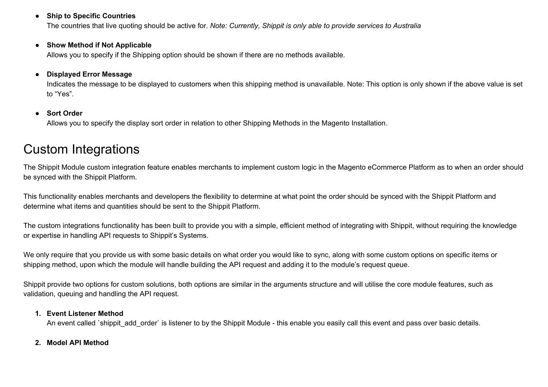#### **● Ship to Specific Countries**

The countries that live quoting should be active for. *Note: Currently, Shippit is only able to provide services to Australia*

#### **● Show Method if Not Applicable**

Allows you to specify if the Shipping option should be shown if there are no methods available.

#### **● Displayed Error Message**

Indicates the message to be displayed to customers when this shipping method is unavailable. Note: This option is only shown if the above value is set to "Yes".

#### **● Sort Order**

Allows you to specify the display sort order in relation to other Shipping Methods in the Magento Installation.

# <span id="page-8-0"></span>Custom Integrations

The Shippit Module custom integration feature enables merchants to implement custom logic in the Magento eCommerce Platform as to when an order should be synced with the Shippit Platform.

This functionality enables merchants and developers the flexibility to determine at what point the order should be synced with the Shippit Platform and determine what items and quantities should be sent to the Shippit Platform.

The custom integrations functionality has been built to provide you with a simple, efficient method of integrating with Shippit, without requiring the knowledge or expertise in handling API requests to Shippit's Systems.

We only require that you provide us with some basic details on what order you would like to sync, along with some custom options on specific items or shipping method, upon which the module will handle building the API request and adding it to the module's request queue.

Shippit provide two options for custom solutions, both options are similar in the arguments structure and will utilise the core module features, such as validation, queuing and handling the API request.

#### **1. Event Listener Method**

An event called `shippit add order` is listener to by the Shippit Module - this enable you easily call this event and pass over basic details.

#### **2. Model API Method**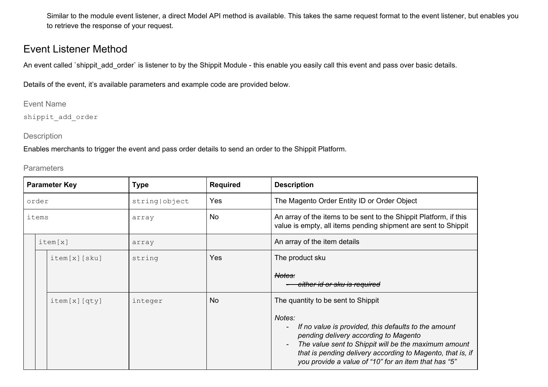Similar to the module event listener, a direct Model API method is available. This takes the same request format to the event listener, but enables you to retrieve the response of your request.

# <span id="page-9-0"></span>Event Listener Method

An event called `shippit add order` is listener to by the Shippit Module - this enable you easily call this event and pass over basic details.

<span id="page-9-1"></span>Details of the event, it's available parameters and example code are provided below.

Event Name

<span id="page-9-2"></span>shippit\_add\_order

#### **Description**

Enables merchants to trigger the event and pass order details to send an order to the Shippit Platform.

<span id="page-9-3"></span>**Parameters** 

| <b>Parameter Key</b> |         |              | <b>Type</b>   | <b>Required</b> | <b>Description</b>                                                                                                                                                                                                                                                                                                |  |
|----------------------|---------|--------------|---------------|-----------------|-------------------------------------------------------------------------------------------------------------------------------------------------------------------------------------------------------------------------------------------------------------------------------------------------------------------|--|
| order                |         |              | string object | <b>Yes</b>      | The Magento Order Entity ID or Order Object                                                                                                                                                                                                                                                                       |  |
| items                |         |              | array         | <b>No</b>       | An array of the items to be sent to the Shippit Platform, if this<br>value is empty, all items pending shipment are sent to Shippit                                                                                                                                                                               |  |
|                      | item[x] |              | array         |                 | An array of the item details                                                                                                                                                                                                                                                                                      |  |
|                      |         | item[x][sku] | string        | Yes             | The product sku                                                                                                                                                                                                                                                                                                   |  |
|                      |         |              |               |                 | Notes:<br>either id or sku is required                                                                                                                                                                                                                                                                            |  |
|                      |         | item[x][qty] | integer       | <b>No</b>       | The quantity to be sent to Shippit                                                                                                                                                                                                                                                                                |  |
|                      |         |              |               |                 | Notes:<br>If no value is provided, this defaults to the amount<br>$\overline{\phantom{a}}$<br>pending delivery according to Magento<br>The value sent to Shippit will be the maximum amount<br>that is pending delivery according to Magento, that is, if<br>you provide a value of "10" for an item that has "5" |  |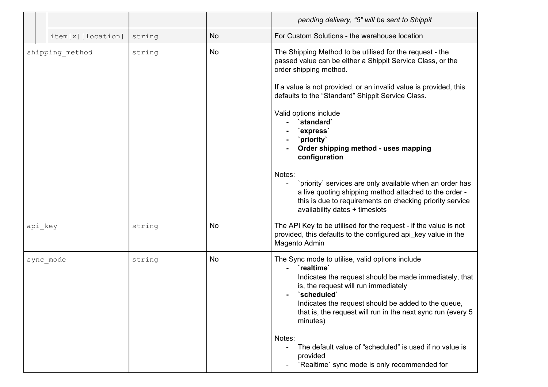|                 |                   |        |           | pending delivery, "5" will be sent to Shippit                                                                                                                                                                                                                                                                                                                                                                                                                                                                                                                                                                                       |
|-----------------|-------------------|--------|-----------|-------------------------------------------------------------------------------------------------------------------------------------------------------------------------------------------------------------------------------------------------------------------------------------------------------------------------------------------------------------------------------------------------------------------------------------------------------------------------------------------------------------------------------------------------------------------------------------------------------------------------------------|
|                 | item[x][location] | string | <b>No</b> | For Custom Solutions - the warehouse location                                                                                                                                                                                                                                                                                                                                                                                                                                                                                                                                                                                       |
| shipping method |                   | string | <b>No</b> | The Shipping Method to be utilised for the request - the<br>passed value can be either a Shippit Service Class, or the<br>order shipping method.<br>If a value is not provided, or an invalid value is provided, this<br>defaults to the "Standard" Shippit Service Class.<br>Valid options include<br>`standard`<br>`express`<br>`priority`<br>Order shipping method - uses mapping<br>configuration<br>Notes:<br>`priority` services are only available when an order has<br>a live quoting shipping method attached to the order -<br>this is due to requirements on checking priority service<br>availability dates + timeslots |
| api key         |                   | string | <b>No</b> | The API Key to be utilised for the request - if the value is not<br>provided, this defaults to the configured api_key value in the<br>Magento Admin                                                                                                                                                                                                                                                                                                                                                                                                                                                                                 |
|                 | sync mode         | string | <b>No</b> | The Sync mode to utilise, valid options include<br>`realtime`<br>Indicates the request should be made immediately, that<br>is, the request will run immediately<br>`scheduled`<br>Indicates the request should be added to the queue,<br>that is, the request will run in the next sync run (every 5<br>minutes)<br>Notes:<br>The default value of "scheduled" is used if no value is<br>$\blacksquare$<br>provided<br>`Realtime` sync mode is only recommended for                                                                                                                                                                 |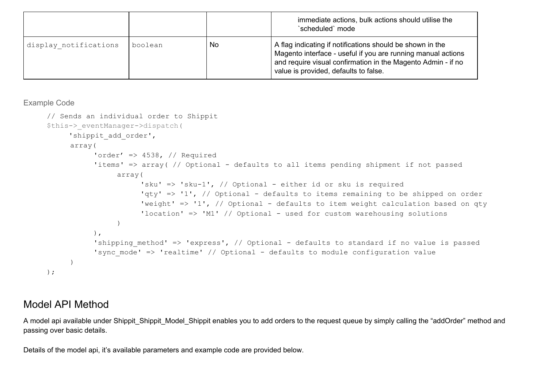|                       |         |     | immediate actions, bulk actions should utilise the<br>`scheduled` mode                                                                                                                                                             |
|-----------------------|---------|-----|------------------------------------------------------------------------------------------------------------------------------------------------------------------------------------------------------------------------------------|
| display notifications | boolean | No. | A flag indicating if notifications should be shown in the<br>Magento interface - useful if you are running manual actions<br>and require visual confirmation in the Magento Admin - if no<br>value is provided, defaults to false. |

#### <span id="page-11-0"></span>Example Code

```
// Sends an individual order to Shippit
$this->_eventManager->dispatch(
     'shippit add order',
     array(
           'order' \Rightarrow 4538, // Required
           'items' => array( // Optional - defaults to all items pending shipment if not passed
                array(
                      'sku' => 'sku-1', // Optional - either id or sku is required
                      'qty' => '1', // Optional - defaults to items remaining to be shipped on order
                      'weight' => '1', // Optional - defaults to item weight calculation based on qty
                      'location' => 'M1' // Optional - used for custom warehousing solutions
                \lambda),
           'shipping method' => 'express', // Optional - defaults to standard if no value is passed
           'sync mode' => 'realtime' // Optional - defaults to module configuration value
     )
);
```
# <span id="page-11-1"></span>Model API Method

A model api available under Shippit\_Shippit\_Model\_Shippit enables you to add orders to the request queue by simply calling the "addOrder" method and passing over basic details.

Details of the model api, it's available parameters and example code are provided below.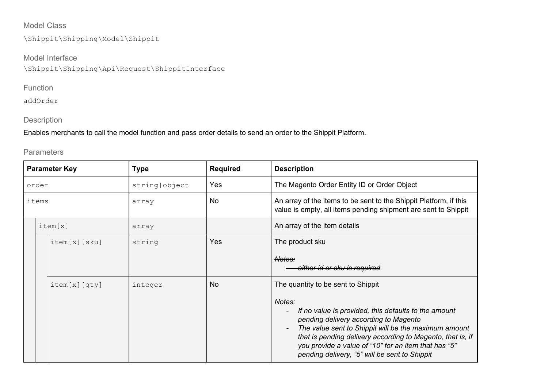## <span id="page-12-0"></span>Model Class

\Shippit\Shipping\Model\Shippit

Model Interface \Shippit\Shipping\Api\Request\ShippitInterface

## <span id="page-12-1"></span>Function

<span id="page-12-2"></span>addOrder

### Description

Enables merchants to call the model function and pass order details to send an order to the Shippit Platform.

### <span id="page-12-3"></span>**Parameters**

| <b>Parameter Key</b> |  |              | Type                                  | <b>Required</b> | <b>Description</b>                                                                                                                                                                                                                                                                                                                                                                                       |
|----------------------|--|--------------|---------------------------------------|-----------------|----------------------------------------------------------------------------------------------------------------------------------------------------------------------------------------------------------------------------------------------------------------------------------------------------------------------------------------------------------------------------------------------------------|
| order                |  |              | string object                         | Yes             | The Magento Order Entity ID or Order Object                                                                                                                                                                                                                                                                                                                                                              |
| items                |  |              | array                                 | No              | An array of the items to be sent to the Shippit Platform, if this<br>value is empty, all items pending shipment are sent to Shippit                                                                                                                                                                                                                                                                      |
| item[x]              |  |              | An array of the item details<br>array |                 |                                                                                                                                                                                                                                                                                                                                                                                                          |
|                      |  | item[x][sku] | string                                | Yes             | The product sku<br>Notes:                                                                                                                                                                                                                                                                                                                                                                                |
|                      |  |              |                                       |                 | either id or sku is required                                                                                                                                                                                                                                                                                                                                                                             |
|                      |  | item[x][qty] | integer                               | <b>No</b>       | The quantity to be sent to Shippit<br>Notes:<br>If no value is provided, this defaults to the amount<br>pending delivery according to Magento<br>The value sent to Shippit will be the maximum amount<br>$\overline{\phantom{a}}$<br>that is pending delivery according to Magento, that is, if<br>you provide a value of "10" for an item that has "5"<br>pending delivery, "5" will be sent to Shippit |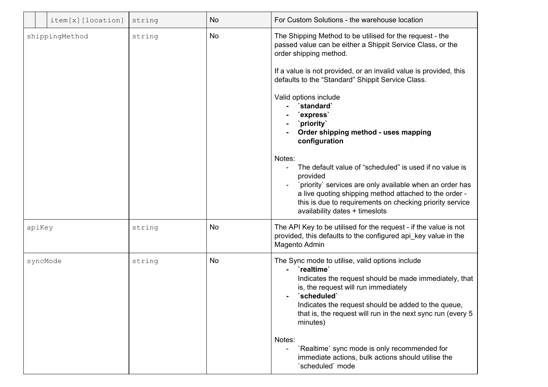|        | item[x][location] | string | <b>No</b> | For Custom Solutions - the warehouse location                                                                                                                                                                                                                                                                                                |
|--------|-------------------|--------|-----------|----------------------------------------------------------------------------------------------------------------------------------------------------------------------------------------------------------------------------------------------------------------------------------------------------------------------------------------------|
|        | shippingMethod    | string | No        | The Shipping Method to be utilised for the request - the<br>passed value can be either a Shippit Service Class, or the<br>order shipping method.<br>If a value is not provided, or an invalid value is provided, this<br>defaults to the "Standard" Shippit Service Class.<br>Valid options include<br>`standard`<br>`express`<br>`priority` |
|        |                   |        |           | Order shipping method - uses mapping<br>configuration                                                                                                                                                                                                                                                                                        |
|        |                   |        |           | Notes:<br>The default value of "scheduled" is used if no value is<br>provided<br>`priority` services are only available when an order has<br>a live quoting shipping method attached to the order -<br>this is due to requirements on checking priority service<br>availability dates + timeslots                                            |
| apiKey |                   | string | No        | The API Key to be utilised for the request - if the value is not<br>provided, this defaults to the configured api_key value in the<br>Magento Admin                                                                                                                                                                                          |
|        | syncMode          | string | No        | The Sync mode to utilise, valid options include<br>`realtime`<br>Indicates the request should be made immediately, that<br>is, the request will run immediately<br>'scheduled'<br>Indicates the request should be added to the queue,<br>that is, the request will run in the next sync run (every 5<br>minutes)                             |
|        |                   |        |           | Notes:<br>'Realtime' sync mode is only recommended for<br>immediate actions, bulk actions should utilise the<br>'scheduled' mode                                                                                                                                                                                                             |